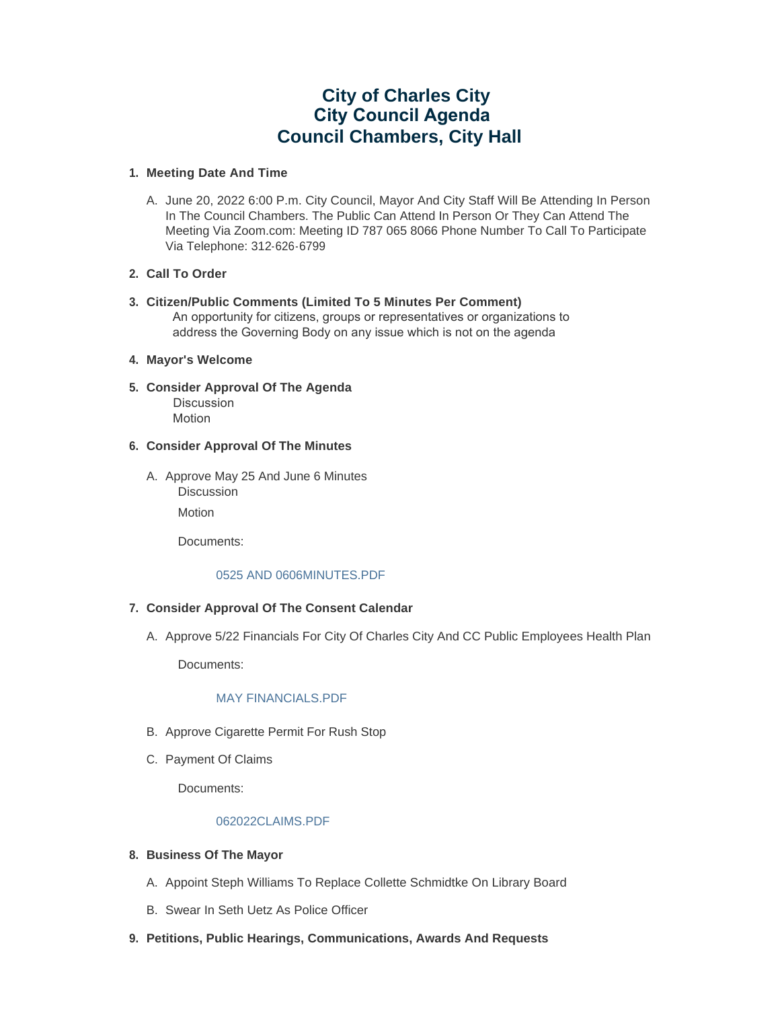# **City of Charles City City Council Agenda Council Chambers, City Hall**

# **Meeting Date And Time 1.**

A. June 20, 2022 6:00 P.m. City Council, Mayor And City Staff Will Be Attending In Person In The Council Chambers. The Public Can Attend In Person Or They Can Attend The Meeting Via Zoom.com: Meeting ID 787 065 8066 Phone Number To Call To Participate Via Telephone: 312-626-6799

# **Call To Order 2.**

**Citizen/Public Comments (Limited To 5 Minutes Per Comment) 3.** An opportunity for citizens, groups or representatives or organizations to address the Governing Body on any issue which is not on the agenda

# **Mayor's Welcome 4.**

**Consider Approval Of The Agenda 5.** Discussion Motion

# **Consider Approval Of The Minutes 6.**

A. Approve May 25 And June 6 Minutes Discussion

Motion

Documents:

# [0525 AND 0606MINUTES.PDF](https://www.cityofcharlescity.org/AgendaCenter/ViewFile/Item/6523?fileID=4219)

# **Consider Approval Of The Consent Calendar 7.**

A. Approve 5/22 Financials For City Of Charles City And CC Public Employees Health Plan

Documents:

# MAY FINANCIALS PDF

- B. Approve Cigarette Permit For Rush Stop
- C. Payment Of Claims

Documents:

# [062022CLAIMS.PDF](https://www.cityofcharlescity.org/AgendaCenter/ViewFile/Item/6526?fileID=4221)

# **Business Of The Mayor 8.**

- A. Appoint Steph Williams To Replace Collette Schmidtke On Library Board
- B. Swear In Seth Uetz As Police Officer
- **Petitions, Public Hearings, Communications, Awards And Requests 9.**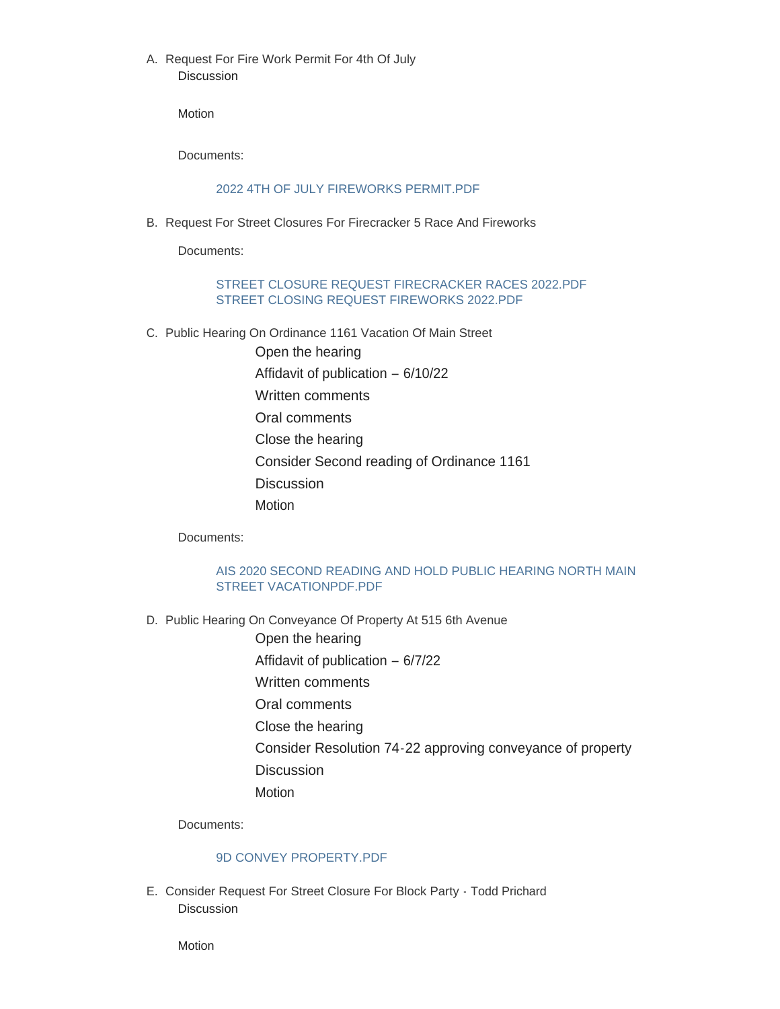A. Request For Fire Work Permit For 4th Of July **Discussion** 

Motion

Documents:

# [2022 4TH OF JULY FIREWORKS PERMIT.PDF](https://www.cityofcharlescity.org/AgendaCenter/ViewFile/Item/6529?fileID=4222)

B. Request For Street Closures For Firecracker 5 Race And Fireworks

Documents:

# [STREET CLOSURE REQUEST FIRECRACKER RACES 2022.PDF](https://www.cityofcharlescity.org/AgendaCenter/ViewFile/Item/6530?fileID=4223) [STREET CLOSING REQUEST FIREWORKS 2022.PDF](https://www.cityofcharlescity.org/AgendaCenter/ViewFile/Item/6530?fileID=4224)

- C. Public Hearing On Ordinance 1161 Vacation Of Main Street
	- Open the hearing

Affidavit of publication – 6/10/22

- Written comments
- Oral comments
- Close the hearing
- Consider Second reading of Ordinance 1161
- **Discussion**
- **Motion**

Documents:

# [AIS 2020 SECOND READING AND HOLD PUBLIC HEARING NORTH MAIN](https://www.cityofcharlescity.org/AgendaCenter/ViewFile/Item/6531?fileID=4225)  STREET VACATIONPDF.PDF

- D. Public Hearing On Conveyance Of Property At 515 6th Avenue
	- Open the hearing
	- Affidavit of publication 6/7/22
	- Written comments
	- Oral comments
	- Close the hearing
	- Consider Resolution 74-22 approving conveyance of property
	- **Discussion**
	- Motion

Documents:

# [9D CONVEY PROPERTY.PDF](https://www.cityofcharlescity.org/AgendaCenter/ViewFile/Item/6532?fileID=4226)

E. Consider Request For Street Closure For Block Party - Todd Prichard Discussion

Motion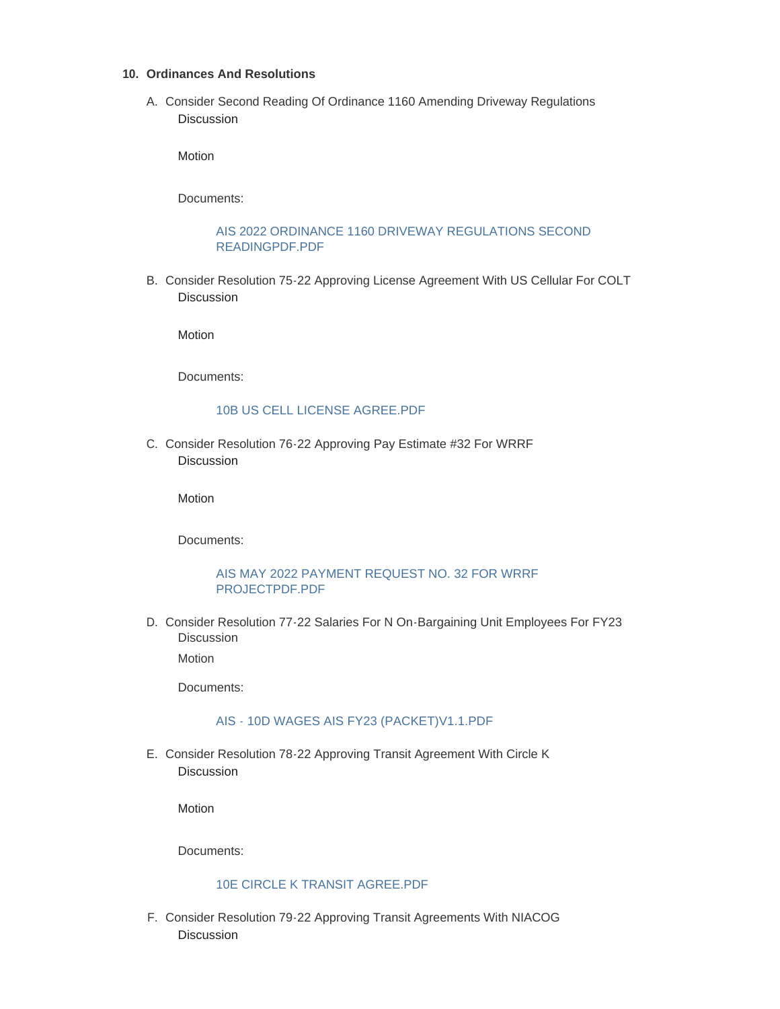#### **Ordinances And Resolutions 10.**

Consider Second Reading Of Ordinance 1160 Amending Driveway Regulations A. **Discussion** 

Motion

Documents:

# [AIS 2022 ORDINANCE 1160 DRIVEWAY REGULATIONS SECOND](https://www.cityofcharlescity.org/AgendaCenter/ViewFile/Item/6534?fileID=4227)  READINGPDF.PDF

B. Consider Resolution 75-22 Approving License Agreement With US Cellular For COLT Discussion

**Motion** 

Documents:

#### [10B US CELL LICENSE AGREE.PDF](https://www.cityofcharlescity.org/AgendaCenter/ViewFile/Item/6535?fileID=4228)

C. Consider Resolution 76-22 Approving Pay Estimate #32 For WRRF **Discussion** 

Motion

Documents:

#### [AIS MAY 2022 PAYMENT REQUEST NO. 32 FOR WRRF](https://www.cityofcharlescity.org/AgendaCenter/ViewFile/Item/6536?fileID=4229)  PROJECTPDF.PDF

D. Consider Resolution 77-22 Salaries For N On-Bargaining Unit Employees For FY23 Discussion

Motion

Documents:

# [AIS - 10D WAGES AIS FY23 \(PACKET\)V1.1.PDF](https://www.cityofcharlescity.org/AgendaCenter/ViewFile/Item/6537?fileID=4233)

E. Consider Resolution 78-22 Approving Transit Agreement With Circle K Discussion

Motion

Documents:

# [10E CIRCLE K TRANSIT AGREE.PDF](https://www.cityofcharlescity.org/AgendaCenter/ViewFile/Item/6538?fileID=4231)

F. Consider Resolution 79-22 Approving Transit Agreements With NIACOG **Discussion**